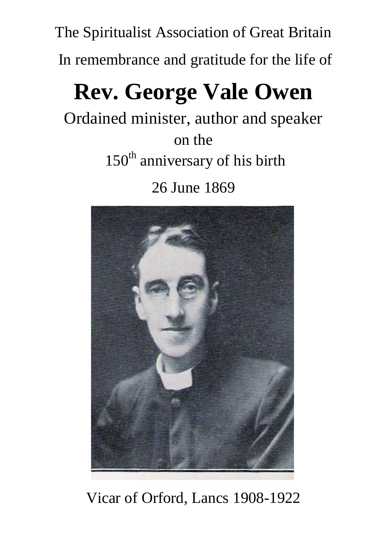The Spiritualist Association of Great Britain In remembrance and gratitude for the life of

## **Rev. George Vale Owen**

Ordained minister, author and speaker

on the 150<sup>th</sup> anniversary of his birth

26 June 1869



Vicar of Orford, Lancs 1908-1922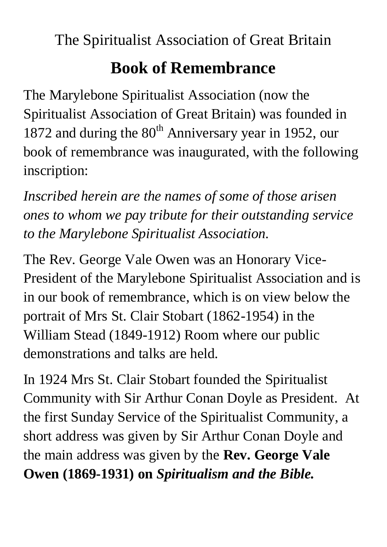The Spiritualist Association of Great Britain

## **Book of Remembrance**

The Marylebone Spiritualist Association (now the Spiritualist Association of Great Britain) was founded in 1872 and during the  $80<sup>th</sup>$  Anniversary year in 1952, our book of remembrance was inaugurated, with the following inscription:

*Inscribed herein are the names of some of those arisen ones to whom we pay tribute for their outstanding service to the Marylebone Spiritualist Association.*

The Rev. George Vale Owen was an Honorary Vice-President of the Marylebone Spiritualist Association and is in our book of remembrance, which is on view below the portrait of Mrs St. Clair Stobart (1862-1954) in the William Stead (1849-1912) Room where our public demonstrations and talks are held.

In 1924 Mrs St. Clair Stobart founded the Spiritualist Community with Sir Arthur Conan Doyle as President. At the first Sunday Service of the Spiritualist Community, a short address was given by Sir Arthur Conan Doyle and the main address was given by the **Rev. George Vale Owen (1869-1931) on** *Spiritualism and the Bible.*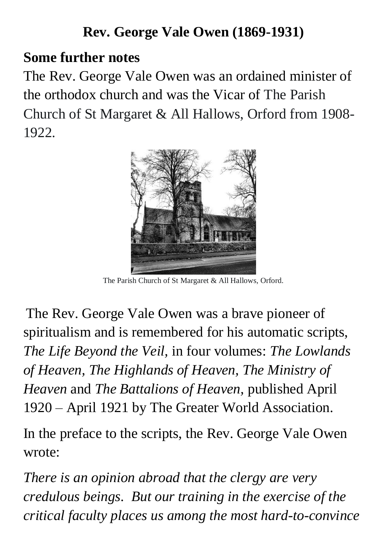## **Rev. George Vale Owen (1869-1931)**

## **Some further notes**

The Rev. George Vale Owen was an ordained minister of the orthodox church and was the Vicar of The Parish Church of St Margaret & All Hallows, Orford from 1908- 1922.



The Parish Church of St Margaret & All Hallows, Orford.

The Rev. George Vale Owen was a brave pioneer of spiritualism and is remembered for his automatic scripts, *The Life Beyond the Veil,* in four volumes: *The Lowlands of Heaven, The Highlands of Heaven, The Ministry of Heaven* and *The Battalions of Heaven,* published April 1920 – April 1921 by The Greater World Association.

In the preface to the scripts, the Rev. George Vale Owen wrote:

*There is an opinion abroad that the clergy are very credulous beings. But our training in the exercise of the critical faculty places us among the most hard-to-convince*